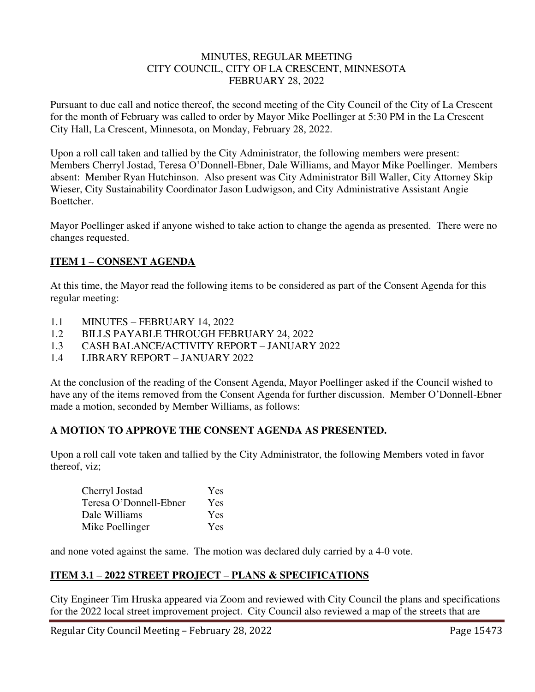#### MINUTES, REGULAR MEETING CITY COUNCIL, CITY OF LA CRESCENT, MINNESOTA FEBRUARY 28, 2022

Pursuant to due call and notice thereof, the second meeting of the City Council of the City of La Crescent for the month of February was called to order by Mayor Mike Poellinger at 5:30 PM in the La Crescent City Hall, La Crescent, Minnesota, on Monday, February 28, 2022.

Upon a roll call taken and tallied by the City Administrator, the following members were present: Members Cherryl Jostad, Teresa O'Donnell-Ebner, Dale Williams, and Mayor Mike Poellinger. Members absent: Member Ryan Hutchinson. Also present was City Administrator Bill Waller, City Attorney Skip Wieser, City Sustainability Coordinator Jason Ludwigson, and City Administrative Assistant Angie Boettcher.

Mayor Poellinger asked if anyone wished to take action to change the agenda as presented. There were no changes requested.

# **ITEM 1 – CONSENT AGENDA**

At this time, the Mayor read the following items to be considered as part of the Consent Agenda for this regular meeting:

- 1.1 MINUTES FEBRUARY 14, 2022
- 1.2 BILLS PAYABLE THROUGH FEBRUARY 24, 2022
- 1.3 CASH BALANCE/ACTIVITY REPORT JANUARY 2022
- 1.4 LIBRARY REPORT JANUARY 2022

At the conclusion of the reading of the Consent Agenda, Mayor Poellinger asked if the Council wished to have any of the items removed from the Consent Agenda for further discussion. Member O'Donnell-Ebner made a motion, seconded by Member Williams, as follows:

## **A MOTION TO APPROVE THE CONSENT AGENDA AS PRESENTED.**

Upon a roll call vote taken and tallied by the City Administrator, the following Members voted in favor thereof, viz;

| Cherryl Jostad         | <b>Yes</b> |
|------------------------|------------|
| Teresa O'Donnell-Ebner | Yes        |
| Dale Williams          | Yes        |
| Mike Poellinger        | Yes        |

and none voted against the same. The motion was declared duly carried by a 4-0 vote.

## **ITEM 3.1 – 2022 STREET PROJECT – PLANS & SPECIFICATIONS**

City Engineer Tim Hruska appeared via Zoom and reviewed with City Council the plans and specifications for the 2022 local street improvement project. City Council also reviewed a map of the streets that are

Regular City Council Meeting – February 28, 2022 Page 15473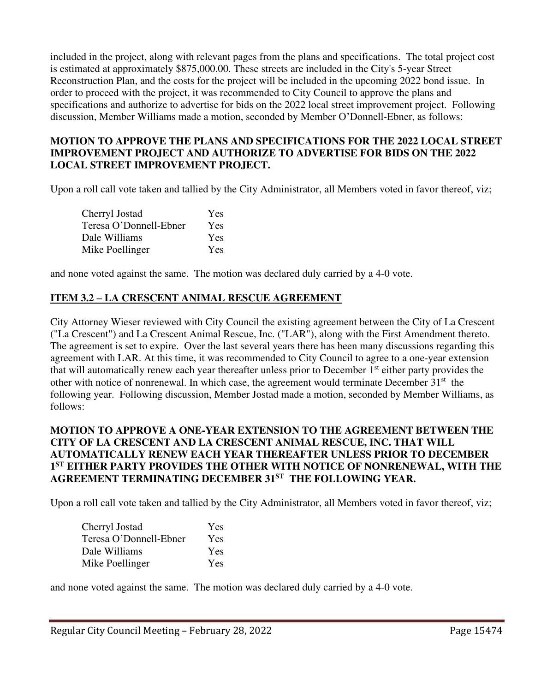included in the project, along with relevant pages from the plans and specifications. The total project cost is estimated at approximately \$875,000.00. These streets are included in the City's 5-year Street Reconstruction Plan, and the costs for the project will be included in the upcoming 2022 bond issue. In order to proceed with the project, it was recommended to City Council to approve the plans and specifications and authorize to advertise for bids on the 2022 local street improvement project. Following discussion, Member Williams made a motion, seconded by Member O'Donnell-Ebner, as follows:

## **MOTION TO APPROVE THE PLANS AND SPECIFICATIONS FOR THE 2022 LOCAL STREET IMPROVEMENT PROJECT AND AUTHORIZE TO ADVERTISE FOR BIDS ON THE 2022 LOCAL STREET IMPROVEMENT PROJECT.**

Upon a roll call vote taken and tallied by the City Administrator, all Members voted in favor thereof, viz;

| Cherryl Jostad         | Yes        |
|------------------------|------------|
| Teresa O'Donnell-Ebner | <b>Yes</b> |
| Dale Williams          | Yes        |
| Mike Poellinger        | <b>Yes</b> |

and none voted against the same. The motion was declared duly carried by a 4-0 vote.

# **ITEM 3.2 – LA CRESCENT ANIMAL RESCUE AGREEMENT**

City Attorney Wieser reviewed with City Council the existing agreement between the City of La Crescent ("La Crescent") and La Crescent Animal Rescue, Inc. ("LAR"), along with the First Amendment thereto. The agreement is set to expire. Over the last several years there has been many discussions regarding this agreement with LAR. At this time, it was recommended to City Council to agree to a one-year extension that will automatically renew each year thereafter unless prior to December 1<sup>st</sup> either party provides the other with notice of nonrenewal. In which case, the agreement would terminate December 31<sup>st</sup> the following year. Following discussion, Member Jostad made a motion, seconded by Member Williams, as follows:

#### **MOTION TO APPROVE A ONE-YEAR EXTENSION TO THE AGREEMENT BETWEEN THE CITY OF LA CRESCENT AND LA CRESCENT ANIMAL RESCUE, INC. THAT WILL AUTOMATICALLY RENEW EACH YEAR THEREAFTER UNLESS PRIOR TO DECEMBER 1 ST EITHER PARTY PROVIDES THE OTHER WITH NOTICE OF NONRENEWAL, WITH THE AGREEMENT TERMINATING DECEMBER 31ST THE FOLLOWING YEAR.**

Upon a roll call vote taken and tallied by the City Administrator, all Members voted in favor thereof, viz;

| Cherryl Jostad         | Yes        |
|------------------------|------------|
| Teresa O'Donnell-Ebner | <b>Yes</b> |
| Dale Williams          | Yes        |
| Mike Poellinger        | <b>Yes</b> |

and none voted against the same. The motion was declared duly carried by a 4-0 vote.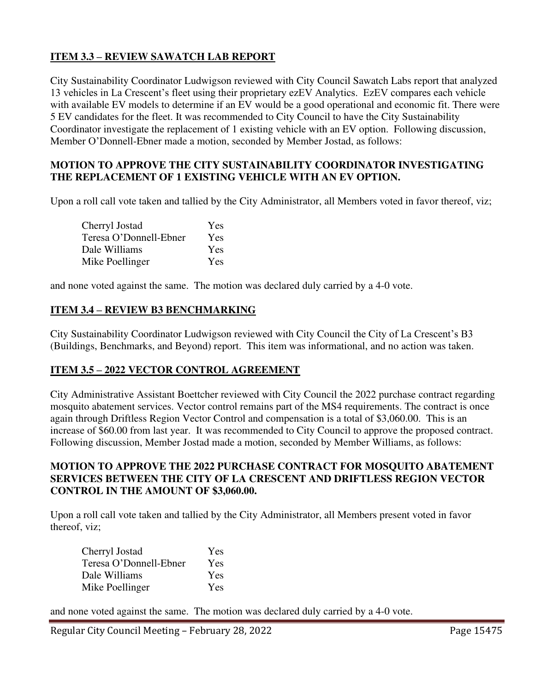# **ITEM 3.3 – REVIEW SAWATCH LAB REPORT**

City Sustainability Coordinator Ludwigson reviewed with City Council Sawatch Labs report that analyzed 13 vehicles in La Crescent's fleet using their proprietary ezEV Analytics. EzEV compares each vehicle with available EV models to determine if an EV would be a good operational and economic fit. There were 5 EV candidates for the fleet. It was recommended to City Council to have the City Sustainability Coordinator investigate the replacement of 1 existing vehicle with an EV option. Following discussion, Member O'Donnell-Ebner made a motion, seconded by Member Jostad, as follows:

## **MOTION TO APPROVE THE CITY SUSTAINABILITY COORDINATOR INVESTIGATING THE REPLACEMENT OF 1 EXISTING VEHICLE WITH AN EV OPTION.**

Upon a roll call vote taken and tallied by the City Administrator, all Members voted in favor thereof, viz;

| Cherryl Jostad         | Yes |
|------------------------|-----|
| Teresa O'Donnell-Ebner | Yes |
| Dale Williams          | Yes |
| Mike Poellinger        | Yes |

and none voted against the same. The motion was declared duly carried by a 4-0 vote.

## **ITEM 3.4 – REVIEW B3 BENCHMARKING**

City Sustainability Coordinator Ludwigson reviewed with City Council the City of La Crescent's B3 (Buildings, Benchmarks, and Beyond) report. This item was informational, and no action was taken.

## **ITEM 3.5 – 2022 VECTOR CONTROL AGREEMENT**

City Administrative Assistant Boettcher reviewed with City Council the 2022 purchase contract regarding mosquito abatement services. Vector control remains part of the MS4 requirements. The contract is once again through Driftless Region Vector Control and compensation is a total of \$3,060.00. This is an increase of \$60.00 from last year. It was recommended to City Council to approve the proposed contract. Following discussion, Member Jostad made a motion, seconded by Member Williams, as follows:

#### **MOTION TO APPROVE THE 2022 PURCHASE CONTRACT FOR MOSQUITO ABATEMENT SERVICES BETWEEN THE CITY OF LA CRESCENT AND DRIFTLESS REGION VECTOR CONTROL IN THE AMOUNT OF \$3,060.00.**

Upon a roll call vote taken and tallied by the City Administrator, all Members present voted in favor thereof, viz;

| Cherryl Jostad         | Yes        |
|------------------------|------------|
| Teresa O'Donnell-Ebner | Yes        |
| Dale Williams          | Yes        |
| Mike Poellinger        | <b>Yes</b> |

and none voted against the same. The motion was declared duly carried by a 4-0 vote.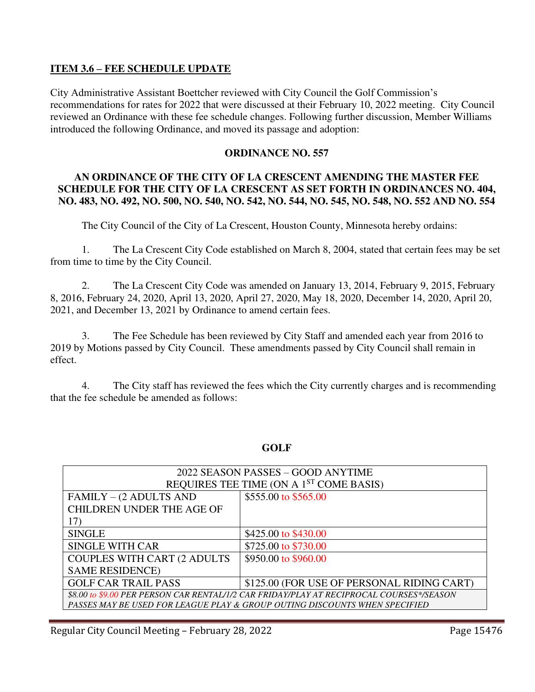#### **ITEM 3.6 – FEE SCHEDULE UPDATE**

City Administrative Assistant Boettcher reviewed with City Council the Golf Commission's recommendations for rates for 2022 that were discussed at their February 10, 2022 meeting. City Council reviewed an Ordinance with these fee schedule changes. Following further discussion, Member Williams introduced the following Ordinance, and moved its passage and adoption:

#### **ORDINANCE NO. 557**

## **AN ORDINANCE OF THE CITY OF LA CRESCENT AMENDING THE MASTER FEE SCHEDULE FOR THE CITY OF LA CRESCENT AS SET FORTH IN ORDINANCES NO. 404, NO. 483, NO. 492, NO. 500, NO. 540, NO. 542, NO. 544, NO. 545, NO. 548, NO. 552 AND NO. 554**

The City Council of the City of La Crescent, Houston County, Minnesota hereby ordains:

1. The La Crescent City Code established on March 8, 2004, stated that certain fees may be set from time to time by the City Council.

2. The La Crescent City Code was amended on January 13, 2014, February 9, 2015, February 8, 2016, February 24, 2020, April 13, 2020, April 27, 2020, May 18, 2020, December 14, 2020, April 20, 2021, and December 13, 2021 by Ordinance to amend certain fees.

3. The Fee Schedule has been reviewed by City Staff and amended each year from 2016 to 2019 by Motions passed by City Council. These amendments passed by City Council shall remain in effect.

4. The City staff has reviewed the fees which the City currently charges and is recommending that the fee schedule be amended as follows:

| 2022 SEASON PASSES - GOOD ANYTIME                                                        |                                                                            |
|------------------------------------------------------------------------------------------|----------------------------------------------------------------------------|
| REQUIRES TEE TIME (ON A 1 <sup>ST</sup> COME BASIS)                                      |                                                                            |
| FAMILY – (2 ADULTS AND                                                                   | \$555.00 to \$565.00                                                       |
| <b>CHILDREN UNDER THE AGE OF</b>                                                         |                                                                            |
| 17)                                                                                      |                                                                            |
| <b>SINGLE</b>                                                                            | \$425.00 to \$430.00                                                       |
| <b>SINGLE WITH CAR</b>                                                                   | \$725.00 to \$730.00                                                       |
| <b>COUPLES WITH CART (2 ADULTS)</b>                                                      | \$950.00 to \$960.00                                                       |
| <b>SAME RESIDENCE)</b>                                                                   |                                                                            |
| <b>GOLF CAR TRAIL PASS</b>                                                               | \$125.00 (FOR USE OF PERSONAL RIDING CART)                                 |
| \$8.00 to \$9.00 PER PERSON CAR RENTAL/1/2 CAR FRIDAY/PLAY AT RECIPROCAL COURSES*/SEASON |                                                                            |
|                                                                                          | PASSES MAY BE USED FOR LEAGUE PLAY & GROUP OUTING DISCOUNTS WHEN SPECIFIED |

## **GOLF**

Regular City Council Meeting – February 28, 2022 Page 15476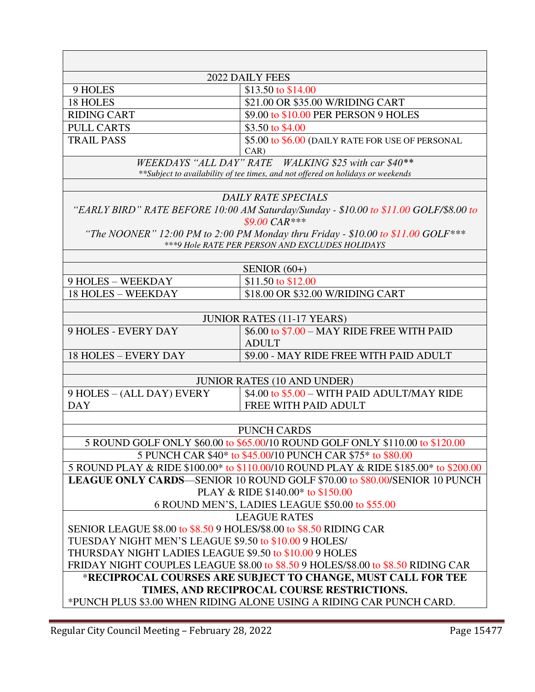|                                                                                                            | 2022 DAILY FEES                                                                                                  |
|------------------------------------------------------------------------------------------------------------|------------------------------------------------------------------------------------------------------------------|
| 9 HOLES                                                                                                    | \$13.50 to \$14.00                                                                                               |
| 18 HOLES                                                                                                   | \$21.00 OR \$35.00 W/RIDING CART                                                                                 |
| <b>RIDING CART</b>                                                                                         | \$9.00 to \$10.00 PER PERSON 9 HOLES                                                                             |
| <b>PULL CARTS</b>                                                                                          | \$3.50 to \$4.00                                                                                                 |
| <b>TRAIL PASS</b>                                                                                          | \$5.00 to \$6.00 (DAILY RATE FOR USE OF PERSONAL                                                                 |
|                                                                                                            | $CAR$ )                                                                                                          |
|                                                                                                            | WEEKDAYS "ALL DAY" RATE WALKING \$25 with car \$40**                                                             |
|                                                                                                            | **Subject to availability of tee times, and not offered on holidays or weekends                                  |
|                                                                                                            |                                                                                                                  |
|                                                                                                            | DAILY RATE SPECIALS                                                                                              |
|                                                                                                            | "EARLY BIRD" RATE BEFORE 10:00 AM Saturday/Sunday - \$10.00 to \$11.00 GOLF/\$8.00 to<br>$$9.00 \text{ } CAR***$ |
|                                                                                                            | "The NOONER" 12:00 PM to 2:00 PM Monday thru Friday - \$10.00 to \$11.00 GOLF***                                 |
|                                                                                                            | *** 9 Hole RATE PER PERSON AND EXCLUDES HOLIDAYS                                                                 |
|                                                                                                            |                                                                                                                  |
|                                                                                                            | SENIOR $(60+)$                                                                                                   |
| 9 HOLES - WEEKDAY                                                                                          | \$11.50 to \$12.00                                                                                               |
| <b>18 HOLES - WEEKDAY</b>                                                                                  | \$18.00 OR \$32.00 W/RIDING CART                                                                                 |
|                                                                                                            |                                                                                                                  |
|                                                                                                            | <b>JUNIOR RATES (11-17 YEARS)</b>                                                                                |
| <b>9 HOLES - EVERY DAY</b>                                                                                 | \$6.00 to \$7.00 - MAY RIDE FREE WITH PAID                                                                       |
|                                                                                                            | <b>ADULT</b>                                                                                                     |
| <b>18 HOLES - EVERY DAY</b>                                                                                | \$9.00 - MAY RIDE FREE WITH PAID ADULT                                                                           |
|                                                                                                            |                                                                                                                  |
|                                                                                                            | <b>JUNIOR RATES (10 AND UNDER)</b>                                                                               |
| 9 HOLES - (ALL DAY) EVERY                                                                                  | \$4.00 to \$5.00 - WITH PAID ADULT/MAY RIDE                                                                      |
| <b>DAY</b>                                                                                                 | FREE WITH PAID ADULT                                                                                             |
|                                                                                                            |                                                                                                                  |
|                                                                                                            | <b>PUNCH CARDS</b>                                                                                               |
|                                                                                                            | 5 ROUND GOLF ONLY \$60.00 to \$65.00/10 ROUND GOLF ONLY \$110.00 to \$120.00                                     |
|                                                                                                            | 5 PUNCH CAR \$40* to \$45.00/10 PUNCH CAR \$75* to \$80.00                                                       |
|                                                                                                            | 5 ROUND PLAY & RIDE \$100.00* to \$110.00/10 ROUND PLAY & RIDE \$185.00* to \$200.00                             |
|                                                                                                            | <b>LEAGUE ONLY CARDS—SENIOR 10 ROUND GOLF \$70.00 to \$80.00/SENIOR 10 PUNCH</b>                                 |
|                                                                                                            | PLAY & RIDE \$140.00* to \$150.00                                                                                |
| 6 ROUND MEN'S, LADIES LEAGUE \$50.00 to \$55.00                                                            |                                                                                                                  |
|                                                                                                            | <b>LEAGUE RATES</b>                                                                                              |
| SENIOR LEAGUE \$8.00 to \$8.50 9 HOLES/\$8.00 to \$8.50 RIDING CAR                                         |                                                                                                                  |
| TUESDAY NIGHT MEN'S LEAGUE \$9.50 to \$10.00 9 HOLES/                                                      |                                                                                                                  |
| THURSDAY NIGHT LADIES LEAGUE \$9.50 to \$10.00 9 HOLES                                                     |                                                                                                                  |
|                                                                                                            | FRIDAY NIGHT COUPLES LEAGUE \$8.00 to \$8.50 9 HOLES/\$8.00 to \$8.50 RIDING CAR                                 |
| *RECIPROCAL COURSES ARE SUBJECT TO CHANGE, MUST CALL FOR TEE<br>TIMES, AND RECIPROCAL COURSE RESTRICTIONS. |                                                                                                                  |
|                                                                                                            |                                                                                                                  |
|                                                                                                            | *PUNCH PLUS \$3.00 WHEN RIDING ALONE USING A RIDING CAR PUNCH CARD.                                              |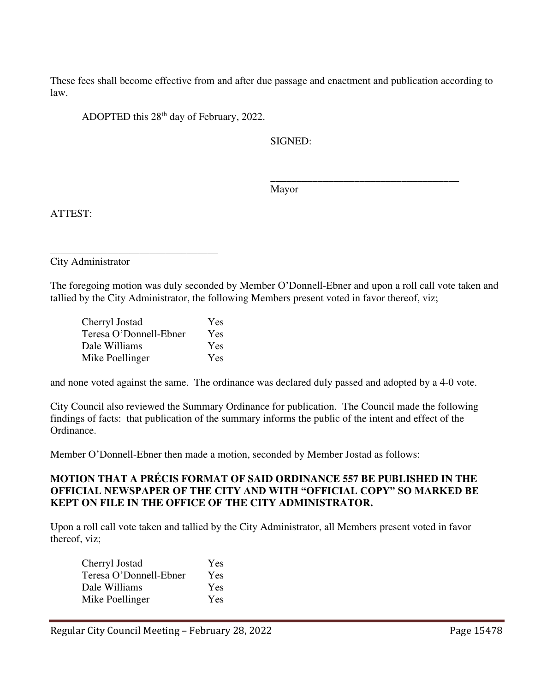These fees shall become effective from and after due passage and enactment and publication according to law.

ADOPTED this 28th day of February, 2022.

SIGNED:

Mayor

 $\overline{\phantom{a}}$  , which is a set of the set of the set of the set of the set of the set of the set of the set of the set of the set of the set of the set of the set of the set of the set of the set of the set of the set of th

ATTEST:

City Administrator

The foregoing motion was duly seconded by Member O'Donnell-Ebner and upon a roll call vote taken and tallied by the City Administrator, the following Members present voted in favor thereof, viz;

| Cherryl Jostad         | Yes        |
|------------------------|------------|
| Teresa O'Donnell-Ebner | Yes        |
| Dale Williams          | <b>Yes</b> |
| Mike Poellinger        | Yes        |

\_\_\_\_\_\_\_\_\_\_\_\_\_\_\_\_\_\_\_\_\_\_\_\_\_\_\_\_\_\_\_\_

and none voted against the same. The ordinance was declared duly passed and adopted by a 4-0 vote.

City Council also reviewed the Summary Ordinance for publication. The Council made the following findings of facts: that publication of the summary informs the public of the intent and effect of the Ordinance.

Member O'Donnell-Ebner then made a motion, seconded by Member Jostad as follows:

## **MOTION THAT A PRÉCIS FORMAT OF SAID ORDINANCE 557 BE PUBLISHED IN THE OFFICIAL NEWSPAPER OF THE CITY AND WITH "OFFICIAL COPY" SO MARKED BE KEPT ON FILE IN THE OFFICE OF THE CITY ADMINISTRATOR.**

Upon a roll call vote taken and tallied by the City Administrator, all Members present voted in favor thereof, viz;

| Cherryl Jostad         | Yes |
|------------------------|-----|
| Teresa O'Donnell-Ebner | Yes |
| Dale Williams          | Yes |
| Mike Poellinger        | Yes |
|                        |     |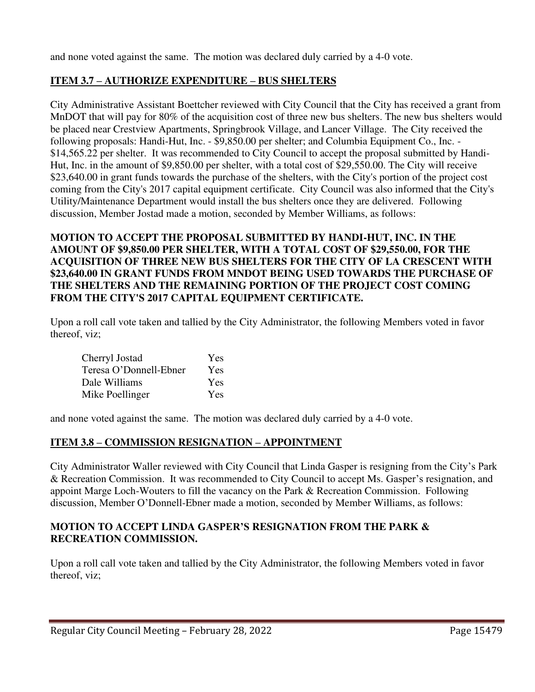and none voted against the same. The motion was declared duly carried by a 4-0 vote.

# **ITEM 3.7 – AUTHORIZE EXPENDITURE – BUS SHELTERS**

City Administrative Assistant Boettcher reviewed with City Council that the City has received a grant from MnDOT that will pay for 80% of the acquisition cost of three new bus shelters. The new bus shelters would be placed near Crestview Apartments, Springbrook Village, and Lancer Village. The City received the following proposals: Handi-Hut, Inc. - \$9,850.00 per shelter; and Columbia Equipment Co., Inc. - \$14,565.22 per shelter. It was recommended to City Council to accept the proposal submitted by Handi-Hut, Inc. in the amount of \$9,850.00 per shelter, with a total cost of \$29,550.00. The City will receive \$23,640.00 in grant funds towards the purchase of the shelters, with the City's portion of the project cost coming from the City's 2017 capital equipment certificate. City Council was also informed that the City's Utility/Maintenance Department would install the bus shelters once they are delivered. Following discussion, Member Jostad made a motion, seconded by Member Williams, as follows:

# **MOTION TO ACCEPT THE PROPOSAL SUBMITTED BY HANDI-HUT, INC. IN THE AMOUNT OF \$9,850.00 PER SHELTER, WITH A TOTAL COST OF \$29,550.00, FOR THE ACQUISITION OF THREE NEW BUS SHELTERS FOR THE CITY OF LA CRESCENT WITH \$23,640.00 IN GRANT FUNDS FROM MNDOT BEING USED TOWARDS THE PURCHASE OF THE SHELTERS AND THE REMAINING PORTION OF THE PROJECT COST COMING FROM THE CITY'S 2017 CAPITAL EQUIPMENT CERTIFICATE.**

Upon a roll call vote taken and tallied by the City Administrator, the following Members voted in favor thereof, viz;

| Cherryl Jostad         | Yes        |
|------------------------|------------|
| Teresa O'Donnell-Ebner | <b>Yes</b> |
| Dale Williams          | Yes        |
| Mike Poellinger        | <b>Yes</b> |

and none voted against the same. The motion was declared duly carried by a 4-0 vote.

# **ITEM 3.8 – COMMISSION RESIGNATION – APPOINTMENT**

City Administrator Waller reviewed with City Council that Linda Gasper is resigning from the City's Park & Recreation Commission. It was recommended to City Council to accept Ms. Gasper's resignation, and appoint Marge Loch-Wouters to fill the vacancy on the Park & Recreation Commission. Following discussion, Member O'Donnell-Ebner made a motion, seconded by Member Williams, as follows:

# **MOTION TO ACCEPT LINDA GASPER'S RESIGNATION FROM THE PARK & RECREATION COMMISSION.**

Upon a roll call vote taken and tallied by the City Administrator, the following Members voted in favor thereof, viz;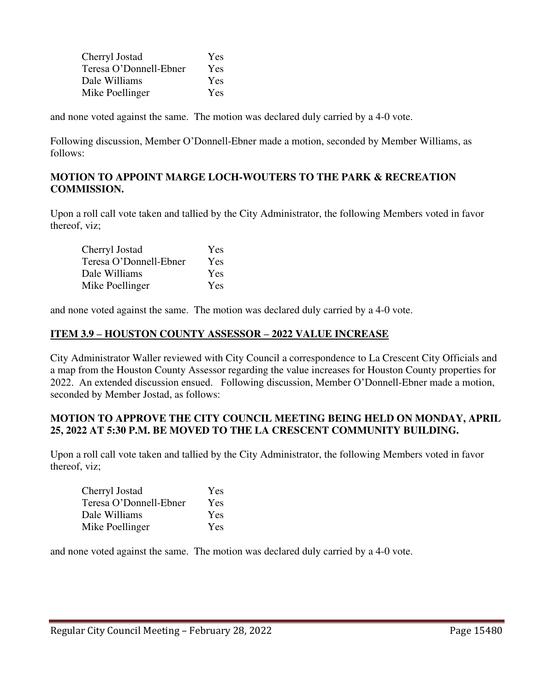| Cherryl Jostad         | Yes        |
|------------------------|------------|
| Teresa O'Donnell-Ebner | Yes        |
| Dale Williams          | <b>Yes</b> |
| Mike Poellinger        | Yes        |

and none voted against the same. The motion was declared duly carried by a 4-0 vote.

Following discussion, Member O'Donnell-Ebner made a motion, seconded by Member Williams, as follows:

#### **MOTION TO APPOINT MARGE LOCH-WOUTERS TO THE PARK & RECREATION COMMISSION.**

Upon a roll call vote taken and tallied by the City Administrator, the following Members voted in favor thereof, viz;

| Cherryl Jostad         | Yes        |
|------------------------|------------|
| Teresa O'Donnell-Ebner | <b>Yes</b> |
| Dale Williams          | Yes        |
| Mike Poellinger        | <b>Yes</b> |

and none voted against the same. The motion was declared duly carried by a 4-0 vote.

## **ITEM 3.9 – HOUSTON COUNTY ASSESSOR – 2022 VALUE INCREASE**

City Administrator Waller reviewed with City Council a correspondence to La Crescent City Officials and a map from the Houston County Assessor regarding the value increases for Houston County properties for 2022. An extended discussion ensued. Following discussion, Member O'Donnell-Ebner made a motion, seconded by Member Jostad, as follows:

#### **MOTION TO APPROVE THE CITY COUNCIL MEETING BEING HELD ON MONDAY, APRIL 25, 2022 AT 5:30 P.M. BE MOVED TO THE LA CRESCENT COMMUNITY BUILDING.**

Upon a roll call vote taken and tallied by the City Administrator, the following Members voted in favor thereof, viz;

| Cherryl Jostad         | <b>Yes</b> |
|------------------------|------------|
| Teresa O'Donnell-Ebner | <b>Yes</b> |
| Dale Williams          | Yes        |
| Mike Poellinger        | Yes        |

and none voted against the same. The motion was declared duly carried by a 4-0 vote.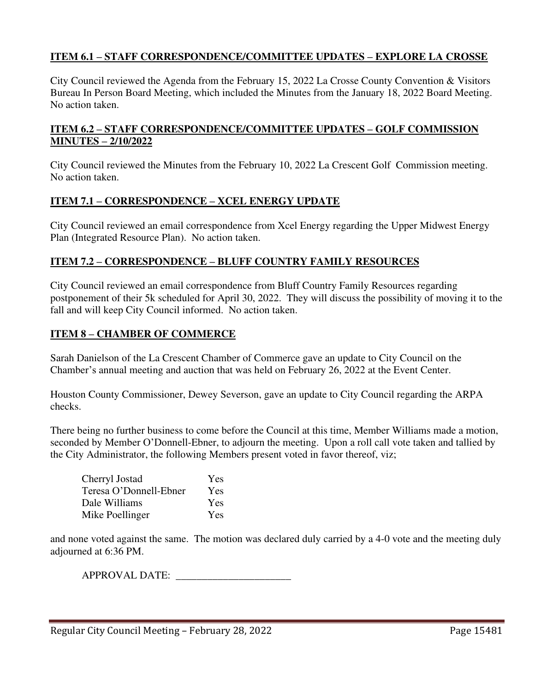## **ITEM 6.1 – STAFF CORRESPONDENCE/COMMITTEE UPDATES – EXPLORE LA CROSSE**

City Council reviewed the Agenda from the February 15, 2022 La Crosse County Convention & Visitors Bureau In Person Board Meeting, which included the Minutes from the January 18, 2022 Board Meeting. No action taken.

## **ITEM 6.2 – STAFF CORRESPONDENCE/COMMITTEE UPDATES – GOLF COMMISSION MINUTES – 2/10/2022**

City Council reviewed the Minutes from the February 10, 2022 La Crescent Golf Commission meeting. No action taken.

# **ITEM 7.1 – CORRESPONDENCE – XCEL ENERGY UPDATE**

City Council reviewed an email correspondence from Xcel Energy regarding the Upper Midwest Energy Plan (Integrated Resource Plan). No action taken.

# **ITEM 7.2 – CORRESPONDENCE – BLUFF COUNTRY FAMILY RESOURCES**

City Council reviewed an email correspondence from Bluff Country Family Resources regarding postponement of their 5k scheduled for April 30, 2022. They will discuss the possibility of moving it to the fall and will keep City Council informed. No action taken.

# **ITEM 8 – CHAMBER OF COMMERCE**

Sarah Danielson of the La Crescent Chamber of Commerce gave an update to City Council on the Chamber's annual meeting and auction that was held on February 26, 2022 at the Event Center.

Houston County Commissioner, Dewey Severson, gave an update to City Council regarding the ARPA checks.

There being no further business to come before the Council at this time, Member Williams made a motion, seconded by Member O'Donnell-Ebner, to adjourn the meeting. Upon a roll call vote taken and tallied by the City Administrator, the following Members present voted in favor thereof, viz;

| Cherryl Jostad         | <b>Yes</b> |
|------------------------|------------|
| Teresa O'Donnell-Ebner | <b>Yes</b> |
| Dale Williams          | Yes        |
| Mike Poellinger        | Yes        |

and none voted against the same. The motion was declared duly carried by a 4-0 vote and the meeting duly adjourned at 6:36 PM.

APPROVAL DATE: